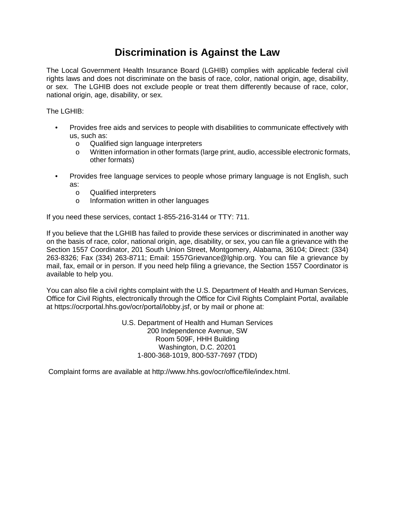## **Discrimination is Against the Law**

The Local Government Health Insurance Board (LGHIB) complies with applicable federal civil rights laws and does not discriminate on the basis of race, color, national origin, age, disability, or sex. The LGHIB does not exclude people or treat them differently because of race, color, national origin, age, disability, or sex.

The  $L$  GHIB:

- Provides free aids and services to people with disabilities to communicate effectively with us, such as:
	- o Qualified sign language interpreters<br>
	o Written information in other formats (I
	- Written information in other formats (large print, audio, accessible electronic formats, other formats)
- Provides free language services to people whose primary language is not English, such as:
	- o Qualified interpreters<br>
	o Information written in
	- Information written in other languages

If you need these services, contact 1-855-216-3144 or TTY: 711.

If you believe that the LGHIB has failed to provide these services or discriminated in another way on the basis of race, color, national origin, age, disability, or sex, you can file a grievance with the Section 1557 Coordinator, 201 South Union Street, Montgomery, Alabama, 36104; Direct: (334) 263-8326; Fax (334) 263-8711; Email: 1557Grievance@lghip.org. You can file a grievance by mail, fax, email or in person. If you need help filing a grievance, the Section 1557 Coordinator is available to help you.

You can also file a civil rights complaint with the U.S. Department of Health and Human Services, Office for Civil Rights, electronically through the Office for Civil Rights Complaint Portal, available at https://ocrportal.hhs.gov/ocr/portal/lobby.jsf, or by mail or phone at:

> U.S. Department of Health and Human Services 200 Independence Avenue, SW Room 509F, HHH Building Washington, D.C. 20201 1-800-368-1019, 800-537-7697 (TDD)

Complaint forms are available at http://www.hhs.gov/ocr/office/file/index.html.